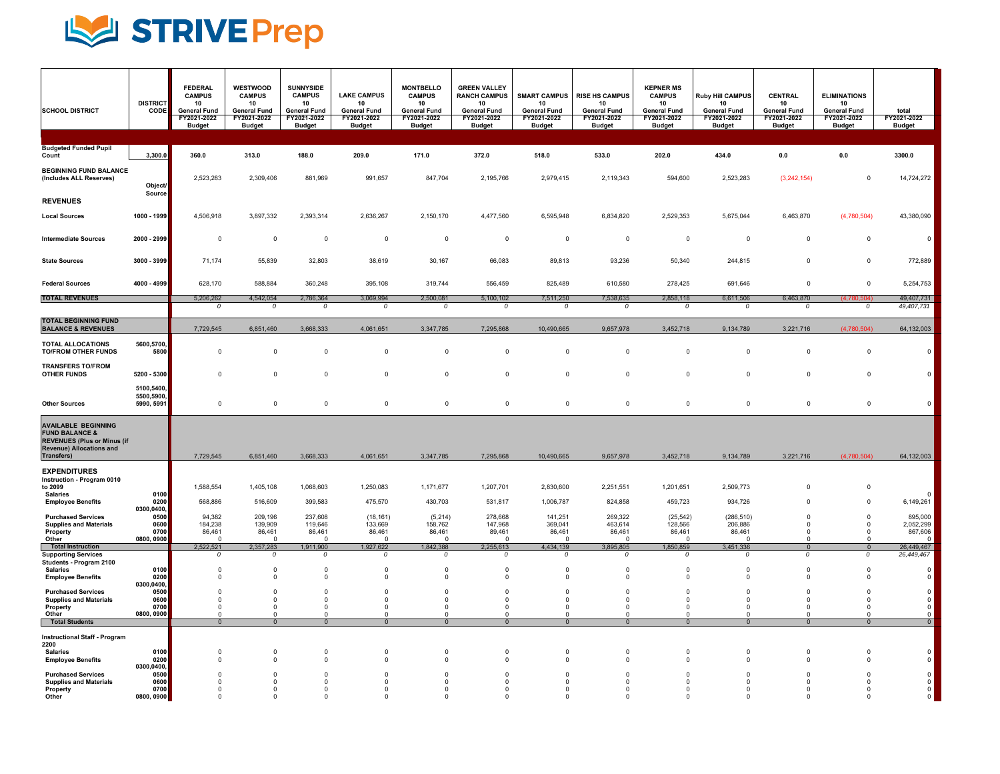

| <b>SCHOOL DISTRICT</b>                                                                                                                         | <b>DISTRICT</b><br>CODE                          | <b>FEDERAL</b><br><b>CAMPUS</b><br>10<br><b>General Fund</b><br>FY2021-2022<br><b>Budget</b> | <b>WESTWOOD</b><br><b>CAMPUS</b><br>10<br><b>General Fund</b><br>FY2021-2022<br><b>Budget</b> | <b>SUNNYSIDE</b><br><b>CAMPUS</b><br>10<br><b>General Fund</b><br>FY2021-2022<br><b>Budget</b> | <b>LAKE CAMPUS</b><br>10<br><b>General Fund</b><br>FY2021-2022<br><b>Budget</b> | <b>MONTBELLO</b><br><b>CAMPUS</b><br>10<br><b>General Fund</b><br>FY2021-2022<br><b>Budget</b> | <b>GREEN VALLEY</b><br><b>RANCH CAMPUS</b><br>10<br><b>General Fund</b><br>FY2021-2022<br><b>Budget</b> | <b>SMART CAMPUS</b><br>10<br><b>General Fund</b><br>FY2021-2022<br><b>Budget</b> | <b>RISE HS CAMPUS</b><br>10<br><b>General Fund</b><br>FY2021-2022<br><b>Budget</b> | <b>KEPNER MS</b><br><b>CAMPUS</b><br>10<br><b>General Fund</b><br>FY2021-2022<br><b>Budget</b> | Ruby Hill CAMPUS<br>10<br><b>General Fund</b><br>FY2021-2022<br><b>Budget</b> | CENTRAL<br>10<br><b>General Fund</b><br>FY2021-2022<br><b>Budget</b> | <b>ELIMINATIONS</b><br>10<br><b>General Fund</b><br>FY2021-2022<br><b>Budget</b> | total<br>FY2021-2022<br><b>Budget</b>                 |
|------------------------------------------------------------------------------------------------------------------------------------------------|--------------------------------------------------|----------------------------------------------------------------------------------------------|-----------------------------------------------------------------------------------------------|------------------------------------------------------------------------------------------------|---------------------------------------------------------------------------------|------------------------------------------------------------------------------------------------|---------------------------------------------------------------------------------------------------------|----------------------------------------------------------------------------------|------------------------------------------------------------------------------------|------------------------------------------------------------------------------------------------|-------------------------------------------------------------------------------|----------------------------------------------------------------------|----------------------------------------------------------------------------------|-------------------------------------------------------|
| <b>Budgeted Funded Pupil</b>                                                                                                                   |                                                  |                                                                                              |                                                                                               |                                                                                                |                                                                                 |                                                                                                |                                                                                                         |                                                                                  |                                                                                    |                                                                                                |                                                                               |                                                                      |                                                                                  |                                                       |
| Count                                                                                                                                          | 3,300.0                                          | 360.0                                                                                        | 313.0                                                                                         | 188.0                                                                                          | 209.0                                                                           | 171.0                                                                                          | 372.0                                                                                                   | 518.0                                                                            | 533.0                                                                              | 202.0                                                                                          | 434.0                                                                         | 0.0                                                                  | 0.0                                                                              | 3300.0                                                |
| <b>BEGINNING FUND BALANCE</b><br>(Includes ALL Reserves)                                                                                       | Object/<br>Source                                | 2,523,283                                                                                    | 2,309,406                                                                                     | 881,969                                                                                        | 991,657                                                                         | 847,704                                                                                        | 2,195,766                                                                                               | 2,979,415                                                                        | 2,119,343                                                                          | 594,600                                                                                        | 2,523,283                                                                     | (3,242,154)                                                          | $^{\circ}$                                                                       | 14,724,272                                            |
| <b>REVENUES</b><br><b>Local Sources</b>                                                                                                        | 1000 - 1999                                      | 4,506,918                                                                                    | 3,897,332                                                                                     | 2,393,314                                                                                      | 2,636,267                                                                       | 2,150,170                                                                                      | 4,477,560                                                                                               | 6,595,948                                                                        | 6,834,820                                                                          | 2,529,353                                                                                      | 5,675,044                                                                     | 6,463,870                                                            | (4,780,504)                                                                      | 43,380,090                                            |
| <b>Intermediate Sources</b>                                                                                                                    | 2000 - 2999                                      | $\mathsf 0$                                                                                  | $\mathbf 0$                                                                                   | $\Omega$                                                                                       | $\Omega$                                                                        | $\mathsf 0$                                                                                    | $\Omega$                                                                                                | $\Omega$                                                                         | $\mathbf 0$                                                                        | $\mathbf 0$                                                                                    | $\Omega$                                                                      | $\Omega$                                                             | $\mathbf 0$                                                                      | $\Omega$                                              |
| <b>State Sources</b>                                                                                                                           | 3000 - 3999                                      | 71,174                                                                                       | 55,839                                                                                        | 32,803                                                                                         | 38,619                                                                          | 30,167                                                                                         | 66,083                                                                                                  | 89,813                                                                           | 93,236                                                                             | 50,340                                                                                         | 244,815                                                                       | $\mathsf 0$                                                          | $\mathbf 0$                                                                      | 772,889                                               |
| <b>Federal Sources</b>                                                                                                                         | 4000 - 4999                                      | 628,170                                                                                      | 588,884                                                                                       | 360,248                                                                                        | 395,108                                                                         | 319,744                                                                                        | 556,459                                                                                                 | 825.489                                                                          | 610,580                                                                            | 278,425                                                                                        | 691,646                                                                       | $\Omega$                                                             | $\mathbf 0$                                                                      | 5,254,753                                             |
| <b>TOTAL REVENUES</b>                                                                                                                          |                                                  | 5,206,262<br>$\Omega$                                                                        | 4.542.054<br>0                                                                                | 2,786,364<br>0                                                                                 | 3,069,994<br>0                                                                  | 2,500,081<br>$\overline{0}$                                                                    | 5,100,102<br>$\overline{0}$                                                                             | 7,511,250<br>$\overline{0}$                                                      | 7,538,635<br>$\Omega$                                                              | 2,858,118<br>$\overline{0}$                                                                    | 6,611,506<br>0                                                                | 6,463,870<br>0                                                       | (4.780.504)<br>0                                                                 | 49,407,731<br>49,407,731                              |
| <b>TOTAL BEGINNING FUND</b>                                                                                                                    |                                                  |                                                                                              |                                                                                               |                                                                                                |                                                                                 |                                                                                                |                                                                                                         |                                                                                  |                                                                                    |                                                                                                |                                                                               |                                                                      |                                                                                  |                                                       |
| <b>BALANCE &amp; REVENUES</b>                                                                                                                  |                                                  | 7,729,545                                                                                    | 6,851,460                                                                                     | 3,668,333                                                                                      | 4,061,651                                                                       | 3,347,785                                                                                      | 7,295,868                                                                                               | 10,490,665                                                                       | 9,657,978                                                                          | 3,452,718                                                                                      | 9,134,789                                                                     | 3,221,716                                                            | (4,780,504)                                                                      | 64,132,003                                            |
| TOTAL ALLOCATIONS<br><b>TO/FROM OTHER FUNDS</b>                                                                                                | 5600,5700,<br>5800                               | $\mathsf 0$                                                                                  | $\mathbf 0$                                                                                   | $\mathbf 0$                                                                                    | $\mathsf 0$                                                                     | $^{\circ}$                                                                                     | $\Omega$                                                                                                | $\mathsf 0$                                                                      | $\mathbf 0$                                                                        | $\mathbf 0$                                                                                    | $\mathbf 0$                                                                   | $\mathbf 0$                                                          | $\mathbf 0$                                                                      | $\mathbf 0$                                           |
| <b>TRANSFERS TO/FROM</b><br><b>OTHER FUNDS</b>                                                                                                 | 5200 - 5300                                      | $\mathbf 0$                                                                                  | $\mathbf 0$                                                                                   | $\mathbf 0$                                                                                    | 0                                                                               | $^{\circ}$                                                                                     | $^{\circ}$                                                                                              | $\mathbf 0$                                                                      | $\mathbf 0$                                                                        | $\mathbf 0$                                                                                    | $\pmb{0}$                                                                     | $\mathbf 0$                                                          | $\mathbf 0$                                                                      |                                                       |
| <b>Other Sources</b>                                                                                                                           | 5100,5400,<br>5500,5900,<br>5990, 5991           | $\mathsf 0$                                                                                  | $\mathsf 0$                                                                                   | $\mathbf 0$                                                                                    | $\mathbf 0$                                                                     | $\mathbf 0$                                                                                    | $\mathsf 0$                                                                                             | $\mathbf 0$                                                                      | $\mathbf 0$                                                                        | $\mathbf 0$                                                                                    | $\mathbf 0$                                                                   | $\mathbf 0$                                                          | $\mathsf 0$                                                                      |                                                       |
| <b>AVAILABLE BEGINNING</b><br><b>FUND BALANCE &amp;</b><br><b>REVENUES (Plus or Minus (if</b><br><b>Revenue) Allocations and</b><br>Transfers) |                                                  | 7,729,545                                                                                    | 6,851,460                                                                                     | 3,668,333                                                                                      | 4,061,651                                                                       | 3,347,785                                                                                      | 7,295,868                                                                                               | 10,490,665                                                                       | 9,657,978                                                                          | 3,452,718                                                                                      | 9,134,789                                                                     | 3,221,716                                                            | (4,780,504)                                                                      | 64,132,003                                            |
| <b>EXPENDITURES</b>                                                                                                                            |                                                  |                                                                                              |                                                                                               |                                                                                                |                                                                                 |                                                                                                |                                                                                                         |                                                                                  |                                                                                    |                                                                                                |                                                                               |                                                                      |                                                                                  |                                                       |
| Instruction - Program 0010<br>to 2099<br><b>Salaries</b>                                                                                       | 0100                                             | 1,588,554                                                                                    | 1,405,108                                                                                     | 1,068,603                                                                                      | 1,250,083                                                                       | 1,171,677                                                                                      | 1,207,701                                                                                               | 2,830,600                                                                        | 2,251,551                                                                          | 1,201,651                                                                                      | 2,509,773                                                                     | $\Omega$                                                             | $\mathbf 0$                                                                      |                                                       |
| <b>Employee Benefits</b>                                                                                                                       | 0200<br>0300,0400,                               | 568,886                                                                                      | 516,609                                                                                       | 399,583                                                                                        | 475,570                                                                         | 430,703                                                                                        | 531,817                                                                                                 | 1,006,787                                                                        | 824,858                                                                            | 459,723                                                                                        | 934,726                                                                       | $\Omega$                                                             | $\mathsf 0$                                                                      | 6,149,261                                             |
| <b>Purchased Services</b><br><b>Supplies and Materials</b><br>Property                                                                         | 0500<br>0600<br>0700                             | 94,382<br>184,238<br>86,461                                                                  | 209,196<br>139,909<br>86,461                                                                  | 237,608<br>119,646<br>86,461                                                                   | (18, 161)<br>133,669<br>86,461                                                  | (5,214)<br>158,762<br>86,461                                                                   | 278,668<br>147,968<br>89,461                                                                            | 141,251<br>369,041<br>86,461                                                     | 269,322<br>463,614<br>86,461                                                       | (25, 542)<br>128,566<br>86,461                                                                 | (286, 510)<br>206,886<br>86,461                                               | $\Omega$<br>$\mathbf 0$<br>$\Omega$                                  | $\mathsf 0$<br>$\mathsf 0$<br>$\mathsf 0$                                        | 895,000<br>2,052,299<br>867,606                       |
| Other<br>Total Instruction                                                                                                                     | 0800, 0900                                       | $\Omega$<br>2,522,521                                                                        | $\mathbf 0$<br>2,357,283                                                                      | $\overline{0}$<br>1,911,900                                                                    | $\overline{0}$<br>1,927,622                                                     | $\mathbf 0$<br>1,842,388                                                                       | $\Omega$<br>2,255,613                                                                                   | $\Omega$<br>4,434,139                                                            | $\Omega$<br>3,895,805                                                              | $\Omega$<br>1,850,859                                                                          | $\mathbf 0$<br>3,451,336                                                      | $\mathsf 0$<br>$\overline{0}$                                        | $\mathsf 0$<br>$\overline{0}$                                                    | $\mathbf 0$<br>26,449,467                             |
| <b>Supporting Services</b><br>Students - Program 2100<br><b>Salaries</b>                                                                       | 0100<br>0200                                     | 0<br>$\mathbf 0$<br>$\mathbf 0$                                                              | 0<br>$\mathbf 0$<br>$\mathbf 0$                                                               | 0<br>$\Omega$<br>$\mathbf 0$                                                                   | 0<br>$\mathbf 0$<br>$\mathbf 0$                                                 | $\Omega$<br>$\Omega$<br>$\mathsf 0$                                                            | $\Omega$<br>$\Omega$<br>$^{\circ}$                                                                      | $\Omega$<br>$\Omega$<br>$\mathsf 0$                                              | $\Omega$<br>$\Omega$<br>$\mathbf 0$                                                | 0<br>$\Omega$<br>$\mathbf 0$                                                                   | 0<br>$\Omega$<br>$\mathbf 0$                                                  | $\overline{o}$<br>$\mathbf 0$<br>$\mathbf 0$                         | $\overline{0}$<br>$\mathbf 0$<br>$\mathbf 0$                                     | 26,449,467<br>$\Omega$<br>$\mathbf 0$                 |
| <b>Employee Benefits</b>                                                                                                                       | 0300,0400,<br>0500                               | $\Omega$                                                                                     | $\mathbf 0$                                                                                   | $\mathbf 0$                                                                                    | $\mathbf{0}$                                                                    | $\mathsf 0$                                                                                    | $\Omega$                                                                                                | $\Omega$                                                                         | $\Omega$                                                                           | $\mathbf 0$                                                                                    | $\Omega$                                                                      | $\mathbf 0$                                                          | $\mathbf 0$                                                                      | $\mathsf 0$                                           |
| <b>Purchased Services</b><br><b>Supplies and Materials</b><br>Property<br>Other                                                                | 0600<br>0700<br>0800, 0900                       | $\Omega$<br>$\mathbf 0$<br>$\Omega$                                                          | $\Omega$<br>$\mathbf 0$<br>$\Omega$                                                           | $\Omega$<br>$\mathbf 0$<br>$\Omega$                                                            | $\Omega$<br>0<br>$\Omega$                                                       | $\Omega$<br>$^{\circ}$<br>$\Omega$                                                             | $\Omega$<br>$^{\circ}$<br>$\Omega$                                                                      | $\Omega$<br>$^{\circ}$<br>$\Omega$                                               | $\Omega$<br>$\mathbf 0$<br>$\Omega$                                                | $\Omega$<br>$\mathbf 0$<br>$\Omega$                                                            | $\Omega$<br>$\mathbf 0$<br>$\Omega$                                           | $\Omega$<br>$\mathsf 0$<br>$\Omega$                                  | $\mathbf 0$<br>$\mathsf 0$<br>$\mathbf 0$                                        | $\,0\,$<br>$\begin{smallmatrix}0\\0\end{smallmatrix}$ |
| <b>Total Students</b>                                                                                                                          |                                                  | $\Omega$                                                                                     | $\Omega$                                                                                      | $\Omega$                                                                                       | $\Omega$                                                                        | $\Omega$                                                                                       | $\Omega$                                                                                                | $\Omega$                                                                         |                                                                                    | $\Omega$                                                                                       | $\Omega$                                                                      | $\mathbf 0$                                                          | $\Omega$                                                                         | $\overline{0}$                                        |
| <b>Instructional Staff - Program</b><br>2200<br><b>Salaries</b><br><b>Employee Benefits</b>                                                    | 0100<br>0200                                     | $\Omega$<br>$\Omega$                                                                         | $\mathbf 0$<br>$\mathsf 0$                                                                    | $\mathbf 0$<br>$\mathsf 0$                                                                     | $\mathbf 0$<br>$\Omega$                                                         | $\mathbf 0$<br>$\Omega$                                                                        | $\Omega$<br>$\Omega$                                                                                    | $\mathbf 0$<br>$\mathbf 0$                                                       | $\mathbf 0$<br>$\pmb{0}$                                                           | $\mathbf 0$<br>0                                                                               | $\mathbf 0$<br>0                                                              | $\mathbf 0$<br>$\mathsf 0$                                           | $\mathbf 0$<br>$\mathsf 0$                                                       | 0<br>$\Omega$                                         |
| <b>Purchased Services</b><br><b>Supplies and Materials</b><br>Property<br>Other                                                                | 0300,0400,<br>0500<br>0600<br>0700<br>0800, 0900 | $\Omega$<br>$\Omega$<br>$\Omega$<br>$\Omega$                                                 | $^{\circ}$<br>$\Omega$<br>$\mathbf 0$<br>$\Omega$                                             | $\Omega$<br>$\Omega$<br>$\Omega$<br>$\Omega$                                                   | $\Omega$<br>$\Omega$<br>$\Omega$<br>$\Omega$                                    | $\Omega$<br>$\Omega$<br>$\Omega$<br>$\Omega$                                                   | $\Omega$<br>$\Omega$<br>$\Omega$                                                                        | $\Omega$<br>$\Omega$<br>$\Omega$<br>$\Omega$                                     | $\Omega$<br>$\Omega$<br>$\Omega$<br>$\Omega$                                       | $\Omega$<br>$\Omega$<br>$\Omega$<br>$\Omega$                                                   | $\Omega$<br>$\Omega$<br>$\Omega$<br>$\Omega$                                  | $\Omega$<br>$\Omega$<br>$\mathbf 0$<br>$\Omega$                      | $^{\circ}$<br>$\mathbf 0$<br>$\mathbf 0$<br>$\Omega$                             | $\pmb{0}$<br>$\Omega$<br>$\mathbf 0$                  |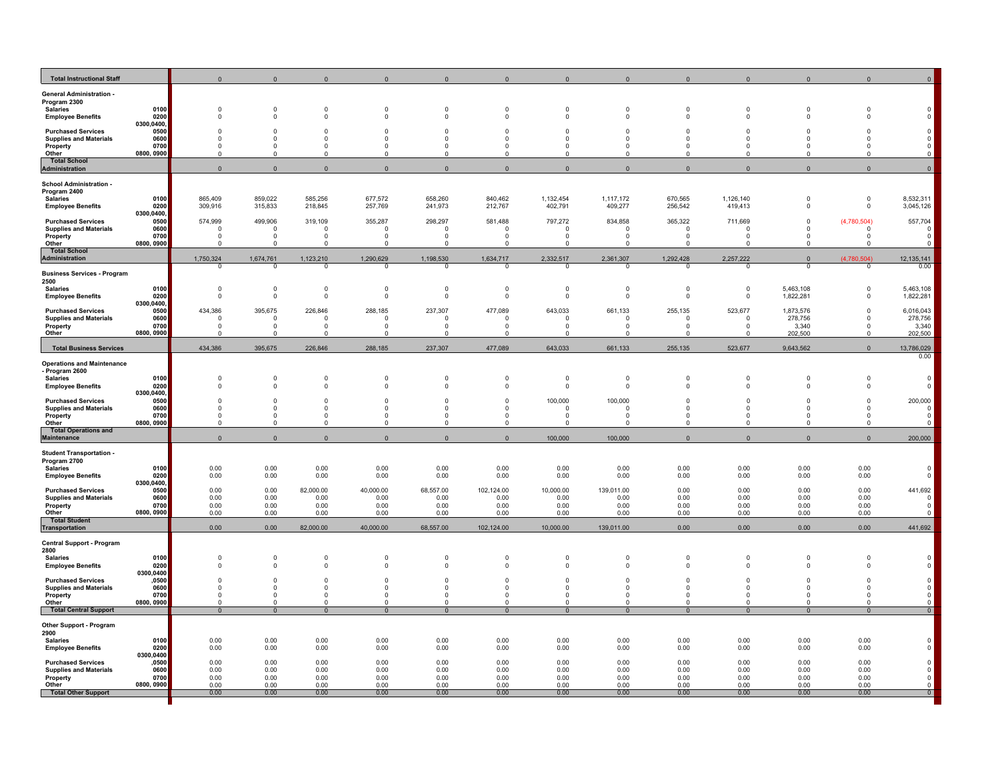| <b>Total Instructional Staff</b>                                                                                                                            |                                           |                                                |                                                 |                                                 |                                                 |                                                   |                                                    |                                                   |                                                 |                                                |                                                |                                          |                                                         |                                          |
|-------------------------------------------------------------------------------------------------------------------------------------------------------------|-------------------------------------------|------------------------------------------------|-------------------------------------------------|-------------------------------------------------|-------------------------------------------------|---------------------------------------------------|----------------------------------------------------|---------------------------------------------------|-------------------------------------------------|------------------------------------------------|------------------------------------------------|------------------------------------------|---------------------------------------------------------|------------------------------------------|
| <b>General Administration -</b><br>Program 2300<br><b>Salaries</b><br><b>Employee Benefits</b>                                                              | 0100<br>0200<br>0300,0400,                | $\Omega$<br>$\Omega$                           | $\Omega$<br>$\mathbf 0$                         | $\Omega$<br>$\Omega$                            | $\Omega$<br>$\Omega$                            | $\Omega$<br>$\Omega$                              | $\Omega$<br>$\Omega$                               | $\Omega$<br>$\mathbf 0$                           | $\Omega$<br>$\Omega$                            | $\Omega$                                       | $\Omega$<br>$\Omega$                           | $\Omega$<br>0                            | $\Omega$<br>$\Omega$                                    |                                          |
| <b>Purchased Services</b><br><b>Supplies and Materials</b><br>Property<br>Other                                                                             | 0500<br>0600<br>0700<br>0800, 0900        | $\Omega$<br>$^{\circ}$<br>$\Omega$             | $\mathbf 0$<br>$\Omega$<br>$\Omega$<br>$\Omega$ | $\mathbf 0$<br>$\Omega$<br>$\Omega$<br>$\Omega$ | - 0<br>$\Omega$<br>$\Omega$                     | $\circ$<br>$\Omega$<br>$\Omega$<br>n              | $\mathbf 0$<br>$\Omega$<br>$\mathbf 0$<br>$\Omega$ | $\mathbf 0$<br>$\Omega$<br>$^{\circ}$<br>$\Omega$ | $\Omega$<br>$\Omega$<br>$\Omega$                | $\Omega$                                       | $\Omega$<br>$\Omega$<br>$\Omega$               | $\mathbf 0$<br>$\Omega$<br>$\Omega$<br>n | $\Omega$<br>$\Omega$<br>$\Omega$                        | $\pmb{0}$<br>$\mathsf 0$                 |
| <b>Total School</b><br><b>Administration</b>                                                                                                                |                                           | $\Omega$                                       | $\Omega$                                        | $\Omega$                                        | $\Omega$                                        | $\Omega$                                          | $\Omega$                                           | $\Omega$                                          | $\Omega$                                        |                                                |                                                | $\Omega$                                 | $\Omega$                                                | $\mathbf 0$                              |
| <b>School Administration -</b><br>Program 2400<br><b>Salaries</b><br><b>Employee Benefits</b><br><b>Purchased Services</b><br><b>Supplies and Materials</b> | 0100<br>0200<br>0300.0400<br>0500<br>0600 | 865,409<br>309,916<br>574,999<br>$^{\circ}$    | 859,022<br>315,833<br>499,906<br>$^{\circ}$     | 585,256<br>218,845<br>319,109<br>$\mathbf 0$    | 677,572<br>257,769<br>355,287<br>$\overline{0}$ | 658,260<br>241,973<br>298,297<br>$\mathbf 0$      | 840,462<br>212,767<br>581,488<br>$\circ$           | 1,132,454<br>402,791<br>797,272<br>$^{\circ}$     | 1,117,172<br>409,277<br>834,858<br>$^{\circ}$   | 670,565<br>256,542<br>365,322<br>$\Omega$      | 1,126,140<br>419,413<br>711,669<br>$\Omega$    | $\Omega$<br>$\mathbf 0$<br>$\Omega$      | $\mathbf 0$<br>$\mathbf 0$<br>(4,780,504)<br>$^{\circ}$ | 8,532,311<br>3,045,126<br>557,704<br>0   |
| Property<br>Other                                                                                                                                           | 0700<br>0800, 0900                        | $\Omega$<br>$\Omega$                           | $\Omega$<br>$\Omega$                            | $\Omega$<br>$\Omega$                            | $\Omega$<br>$\Omega$                            | $\Omega$<br>$\Omega$                              | $\Omega$<br>$\Omega$                               | $\Omega$<br>$\Omega$                              | $\Omega$<br>$\Omega$                            | $\Omega$                                       | $\Omega$                                       | n                                        | $\Omega$<br>$\Omega$                                    | $\Omega$                                 |
| <b>Total School</b><br>Administration                                                                                                                       |                                           | 1,750,324                                      | 1,674,761                                       | 1,123,210                                       | 1,290,629                                       | 1,198,530                                         | 1,634,717                                          | 2,332,517                                         | 2,361,307                                       | 1,292,428                                      | 2,257,222                                      | $\mathbf{0}$                             | (4,780,504)                                             | 12,135,141                               |
| <b>Business Services - Program</b>                                                                                                                          |                                           | $\Omega$                                       | n                                               | $\Omega$                                        | $\Omega$                                        | $\Omega$                                          | O                                                  | $\Omega$                                          |                                                 |                                                |                                                | $\Omega$                                 | $\overline{0}$                                          | 0.00                                     |
| 2500<br><b>Salaries</b><br><b>Employee Benefits</b>                                                                                                         | 0100<br>0200<br>0300,0400,                | $\mathbf 0$<br>$\Omega$                        | $\mathbf 0$<br>$\Omega$                         | $\overline{0}$<br>$\mathbf 0$                   | $\mathbf 0$<br>$\mathbf 0$                      | $\mathbf 0$<br>$\overline{0}$                     | $\mathbf 0$<br>$\Omega$                            | $\mathbf 0$<br>$\Omega$                           | $\mathbf 0$<br>$\Omega$                         | $\Omega$<br>$\Omega$                           | $\mathbf 0$<br>$\Omega$                        | 5,463,108<br>1,822,281                   | $\Omega$<br>$\Omega$                                    | 5,463,108<br>1,822,281                   |
| <b>Purchased Services</b><br><b>Supplies and Materials</b><br>Property<br>Other                                                                             | 0500<br>0600<br>0700<br>0800, 0900        | 434,386<br>$\mathbf 0$<br>$\Omega$<br>$\Omega$ | 395,675<br>$\mathbf 0$<br>$\Omega$<br>$\Omega$  | 226,846<br>$\mathsf 0$<br>$\Omega$<br>$\Omega$  | 288,185<br>$\mathbf 0$<br>$\Omega$<br>$\Omega$  | 237,307<br>$\overline{0}$<br>$\Omega$<br>$\Omega$ | 477,089<br>$\mathbf 0$<br>$\Omega$<br>$\cap$       | 643,033<br>$\mathbf 0$<br>$\Omega$<br>$\Omega$    | 661,133<br>$\mathbf{0}$<br>$\Omega$<br>$\Omega$ | 255,135<br>$\mathbb O$<br>$\Omega$<br>$\Omega$ | 523,677<br>$\mathbf 0$<br>$\Omega$<br>$\Omega$ | 1,873,576<br>278,756<br>3,340<br>202,500 | 0<br>$\Omega$<br>$\Omega$<br>$\Omega$                   | 6,016,043<br>278,756<br>3,340<br>202,500 |
| <b>Total Business Services</b>                                                                                                                              |                                           | 434,386                                        | 395,675                                         | 226,846                                         | 288,185                                         | 237,307                                           | 477,089                                            | 643,033                                           | 661,133                                         | 255,135                                        | 523,677                                        | 9,643,562                                | $\Omega$                                                | 13,786,029                               |
| <b>Operations and Maintenance</b><br>- Program 2600<br><b>Salaries</b>                                                                                      | 0100                                      | $\Omega$                                       | $\Omega$                                        | $\mathbf 0$                                     | $\overline{0}$                                  | $\mathbf 0$                                       | $\mathbf 0$                                        | $\mathbf 0$                                       | $\mathbf{0}$                                    | $\Omega$                                       | $\Omega$                                       | $\Omega$                                 |                                                         | 0.00<br>$\mathbf 0$                      |
| <b>Employee Benefits</b>                                                                                                                                    | 0200<br>0300,0400,                        | $\Omega$                                       | 0                                               | $\overline{0}$                                  | $\Omega$                                        | $^{\circ}$                                        | $^{\circ}$                                         | $^{\circ}$                                        | $\Omega$                                        | $\Omega$                                       | 0                                              | 0                                        | 0                                                       | 0                                        |
| <b>Purchased Services</b><br><b>Supplies and Materials</b><br>Property<br>Other                                                                             | 0500<br>0600<br>0700<br>0800, 0900        | $\Omega$<br>$\Omega$<br>$\Omega$<br>$\Omega$   | $\Omega$<br>$\Omega$<br>$\Omega$<br>$\Omega$    | $\Omega$<br>$\mathbf 0$<br>$\Omega$<br>$\Omega$ | $\Omega$<br>$\Omega$<br>$\Omega$<br>$\Omega$    | $\Omega$<br>$\Omega$<br>$\Omega$<br>$\Omega$      | $\Omega$<br>$\mathbf 0$<br>$\Omega$<br>$\Omega$    | 100,000<br>$^{\circ}$<br>$\Omega$<br>$\Omega$     | 100,000<br>$\Omega$<br>$\Omega$<br>$\Omega$     | $\Omega$<br>- 0<br>- 0                         | $\Omega$<br>$\Omega$<br>$\Omega$<br>$\Omega$   | $\Omega$<br>$\Omega$<br>n<br>$\Omega$    | $\Omega$<br>$\Omega$<br><sup>n</sup><br>$\Omega$        | 200,000<br>$\mathbf 0$<br>$\Omega$       |
| <b>Total Operations and</b><br><b>Maintenance</b>                                                                                                           |                                           | $\mathbf 0$                                    | $\mathbf 0$                                     | $\mathbf{0}$                                    | $\mathbf 0$                                     | $\mathbf{0}$                                      | $\mathbf{0}$                                       | 100,000                                           | 100,000                                         | $\Omega$                                       | $\Omega$                                       | $\Omega$                                 | $\mathbf{0}$                                            | 200,000                                  |
| <b>Student Transportation -</b><br>Program 2700<br><b>Salaries</b><br><b>Employee Benefits</b>                                                              | 0100<br>0200<br>0300,0400,                | 0.00<br>0.00                                   | 0.00<br>0.00                                    | 0.00<br>0.00                                    | 0.00<br>0.00                                    | 0.00<br>0.00                                      | 0.00<br>0.00                                       | 0.00<br>0.00                                      | 0.00<br>0.00                                    | 0.00<br>0.00                                   | 0.00<br>0.00                                   | 0.00<br>0.00                             | 0.00<br>0.00                                            | $\Omega$                                 |
| <b>Purchased Services</b><br><b>Supplies and Materials</b><br>Property<br>Other                                                                             | 0500<br>0600<br>0700<br>0800, 0900        | 0.00<br>0.00<br>0.00<br>0.00                   | 0.00<br>0.00<br>0.00<br>0.00                    | 82,000.00<br>0.00<br>0.00<br>0.00               | 40,000.00<br>0.00<br>0.00<br>0.00               | 68,557.00<br>0.00<br>0.00<br>0.00                 | 102,124.00<br>0.00<br>0.00<br>0.00                 | 10,000.00<br>0.00<br>0.00<br>0.00                 | 139,011.00<br>0.00<br>0.00<br>0.00              | 0.00<br>0.00<br>0.00<br>0.00                   | 0.00<br>0.00<br>0.00<br>0.00                   | 0.00<br>0.00<br>0.00<br>0.00             | 0.00<br>0.00<br>0.00<br>0.00                            | 441,692<br>$\Omega$<br>$\Omega$          |
| <b>Total Student</b><br><b>Transportation</b>                                                                                                               |                                           | 0.00                                           | 0.00                                            | 82,000,00                                       | 40,000.00                                       | 68,557.00                                         | 102,124.00                                         | 10,000.00                                         | 139,011.00                                      | 0.00                                           | 0.00                                           | 0.00                                     | 0.00                                                    | 441,692                                  |
| <b>Central Support - Program</b><br>2800<br><b>Salaries</b><br><b>Employee Benefits</b>                                                                     | 0100<br>0200                              | $\Omega$<br>0                                  | $\Omega$<br>$^{\circ}$                          | $\Omega$<br>$\mathbf 0$                         | $\Omega$<br>$\Omega$                            | $\Omega$<br>0                                     | $\Omega$<br>$\circ$                                | $\Omega$<br>$^{\circ}$                            | $\sqrt{ }$                                      | $\Omega$                                       |                                                | $\Omega$<br>0                            | $\Omega$                                                |                                          |
| <b>Purchased Services</b><br><b>Supplies and Materials</b><br>Property                                                                                      | 0300,0400<br>,0500<br>0600<br>0700        | $\Omega$<br>$^{\circ}$                         | $\Omega$<br>$^{\circ}$                          | $\Omega$<br>$\mathsf 0$                         | - 0<br>$\overline{0}$                           | $\Omega$<br>$\Omega$<br>$^{\circ}$                | $\Omega$<br>$\circ$                                | $\Omega$<br>$\Omega$<br>$^{\circ}$                | $\Omega$<br>$\mathbf 0$                         | $\Omega$<br>$\Omega$                           | $\Omega$<br>$\Omega$                           | $\Omega$<br>0                            | $\Omega$<br>0                                           | $\mathbf 0$                              |
| Other<br><b>Total Central Support</b>                                                                                                                       | 0800, 0900                                | $\Omega$<br>$\overline{0}$                     | $\Omega$<br>$\Omega$                            | $\Omega$<br>$\Omega$                            | $\Omega$<br>$\overline{0}$                      | $\Omega$<br>$\Omega$                              | $\Omega$<br>$\Omega$                               | $\Omega$<br>$\Omega$                              | $\Omega$<br>$\Omega$                            | $\Omega$<br>$\Omega$                           | n<br>$\Omega$                                  | $\Omega$<br>$\overline{0}$               | $\Omega$<br>$\overline{0}$                              | $\Omega$<br>$\Omega$                     |
| Other Support - Program<br>2900<br><b>Salaries</b><br><b>Employee Benefits</b>                                                                              | 0100<br>0200<br>0300,0400                 | 0.00<br>0.00                                   | 0.00<br>0.00                                    | 0.00<br>0.00                                    | 0.00<br>0.00                                    | 0.00<br>0.00                                      | 0.00<br>0.00                                       | 0.00<br>0.00                                      | 0.00<br>0.00                                    | 0.00<br>0.00                                   | 0.00<br>0.00                                   | 0.00<br>0.00                             | 0.00<br>0.00                                            |                                          |
| <b>Purchased Services</b><br><b>Supplies and Materials</b><br>Property<br>Other                                                                             | ,0500<br>0600<br>0700<br>0800, 0900       | 0.00<br>0.00<br>0.00<br>0.00                   | 0.00<br>0.00<br>0.00<br>0.00                    | 0.00<br>0.00<br>0.00<br>0.00                    | 0.00<br>0.00<br>0.00<br>0.00                    | 0.00<br>0.00<br>0.00<br>0.00                      | 0.00<br>0.00<br>0.00<br>0.00                       | 0.00<br>0.00<br>0.00<br>0.00                      | 0.00<br>0.00<br>0.00<br>0.00                    | 0.00<br>0.00<br>0.00<br>0.00                   | 0.00<br>0.00<br>0.00<br>0.00                   | 0.00<br>0.00<br>0.00<br>0.00             | 0.00<br>0.00<br>0.00<br>0.00                            | $\mathbf 0$<br>$\mathsf 0$<br>$\Omega$   |
| <b>Total Other Support</b>                                                                                                                                  |                                           | 0.00                                           | 0.00                                            | 0.00                                            | 0.00                                            | 0.00                                              | 0.00                                               | 0.00                                              | 0.00                                            | 0.00                                           | 0.00                                           | 0.00                                     | 0.00                                                    |                                          |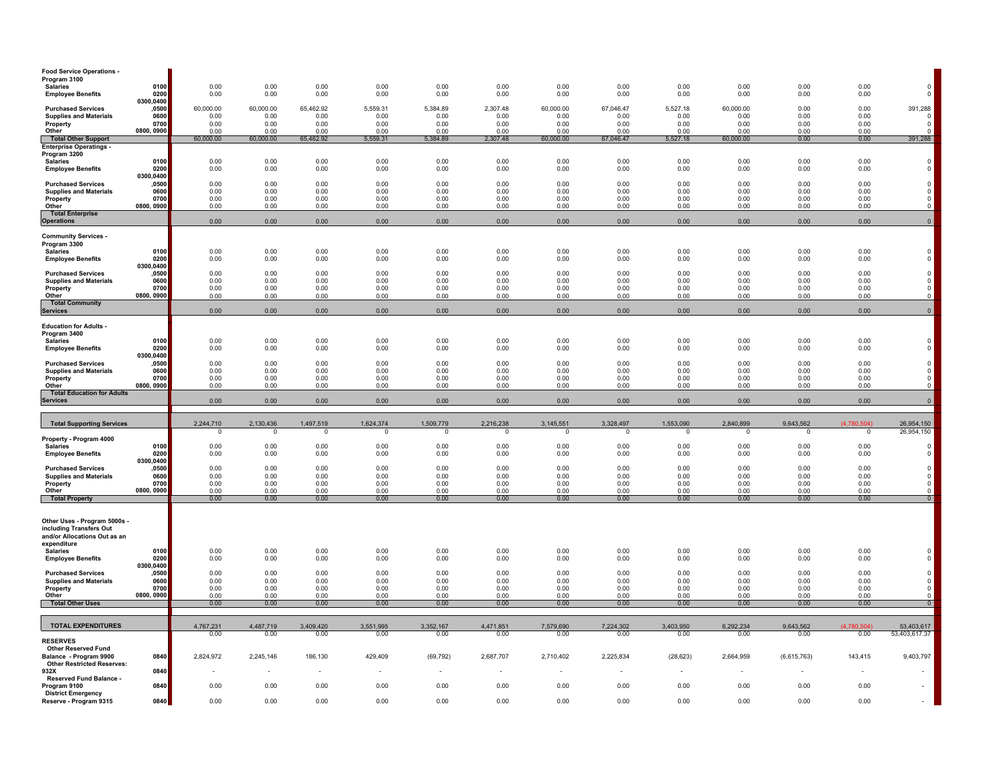| <b>Food Service Operations</b><br>Program 3100                                                         |                       |                          |                       |                           |                             |                      |                          |                          |                       |                       |                          |                          |                            |                                                             |
|--------------------------------------------------------------------------------------------------------|-----------------------|--------------------------|-----------------------|---------------------------|-----------------------------|----------------------|--------------------------|--------------------------|-----------------------|-----------------------|--------------------------|--------------------------|----------------------------|-------------------------------------------------------------|
| <b>Salaries</b>                                                                                        | 0100<br>0200          | 0.00<br>0.00             | 0.00<br>0.00          | 0.00<br>0.00              | 0.00<br>0.00                | 0.00<br>0.00         | 0.00                     | 0.00                     | 0.00<br>0.00          | 0.00<br>0.00          | 0.00                     | 0.00<br>0.00             | 0.00                       | $_{\rm 0}^{\rm 0}$                                          |
| <b>Employee Benefits</b>                                                                               | 0300,0400             | 60,000.00                |                       |                           | 5,559.31                    | 5,384.89             | 0.00<br>2,307.48         | 0.00<br>60,000.00        | 67,046.47             | 5,527.18              | 0.00<br>60,000.00        | 0.00                     | 0.00                       |                                                             |
| <b>Purchased Services</b><br><b>Supplies and Materials</b>                                             | ,0500<br>0600<br>0700 | 0.00                     | 60,000.00<br>0.00     | 65,462.92<br>0.00<br>0.00 | 0.00                        | 0.00                 | 0.00                     | 0.00                     | 0.00                  | 0.00                  | 0.00                     | 0.00                     | 0.00<br>0.00               | 391,288<br>$^{\circ}$<br>$\mathbf 0$                        |
| Property<br>Other                                                                                      | 0800, 0900            | 0.00<br>0.00             | 0.00<br>0.00          | 0.00                      | 0.00<br>0.00                | 0.00<br>0.00         | 0.00<br>0.00             | 0.00<br>0.00             | 0.00<br>0.00          | 0.00<br>0.00          | 0.00<br>0.00             | 0.00<br>0.00             | 0.00<br>0.00               | $\mathbf 0$                                                 |
| <b>Total Other Support</b><br><b>Enterprise Operatings -</b>                                           |                       | 60,000.00                | 60,000.00             | 65.462.92                 | 5,559.31                    | 5,384.89             | 2,307.48                 | 60,000.00                | 67,046.47             | 5,527.18              | 60,000.00                | 0.00                     | 0.00                       | 391,288                                                     |
| Program 3200<br><b>Salaries</b>                                                                        | 0100                  | 0.00                     | 0.00                  | 0.00                      | 0.00                        | 0.00                 | 0.00                     | 0.00                     | 0.00                  | 0.00                  | 0.00                     | 0.00                     | 0.00                       |                                                             |
| <b>Employee Benefits</b>                                                                               | 0200<br>0300,0400     | 0.00                     | 0.00                  | 0.00                      | 0.00                        | 0.00                 | 0.00                     | 0.00                     | 0.00                  | 0.00                  | 0.00                     | 0.00                     | 0.00                       | $\begin{smallmatrix}0\\0\\0\end{smallmatrix}$               |
| <b>Purchased Services</b>                                                                              | ,0500                 | 0.00                     | 0.00                  | 0.00                      | 0.00                        | 0.00                 | 0.00                     | 0.00                     | 0.00                  | 0.00                  | 0.00                     | 0.00                     | 0.00                       |                                                             |
| <b>Supplies and Materials</b><br>Property                                                              | 0600<br>0700          | 0.00<br>0.00             | 0.00<br>0.00          | 0.00<br>0.00              | 0.00<br>0.00                | 0.00<br>0.00         | 0.00<br>0.00             | 0.00<br>0.00             | 0.00<br>0.00          | 0.00<br>0.00          | 0.00<br>0.00             | 0.00<br>0.00             | 0.00<br>0.00               | $\begin{smallmatrix}0\\0\\0\\0\end{smallmatrix}$            |
| Other<br><b>Total Enterprise</b>                                                                       | 0800, 0900            | 0.00                     | 0.00                  | 0.00                      | 0.00                        | 0.00                 | 0.00                     | 0.00                     | 0.00                  | 0.00                  | 0.00                     | 0.00                     | 0.00                       | $\mathsf 0$                                                 |
| <b>Operations</b>                                                                                      |                       | 0.00                     | 0.00                  | 0.00                      | 0.00                        | 0.00                 | 0.00                     | 0.00                     | 0.00                  | 0.00                  | 0.00                     | 0.00                     | 0.00                       | $\circ$                                                     |
| <b>Community Services -</b>                                                                            |                       |                          |                       |                           |                             |                      |                          |                          |                       |                       |                          |                          |                            |                                                             |
| Program 3300<br><b>Salaries</b>                                                                        | 0100                  | 0.00                     | 0.00                  | 0.00                      | 0.00                        | 0.00                 | 0.00                     | 0.00                     | 0.00                  | 0.00                  | 0.00                     | 0.00                     | 0.00                       | $_{\rm 0}^{\rm 0}$                                          |
| <b>Employee Benefits</b>                                                                               | 0200<br>0300,0400     | 0.00                     | 0.00                  | 0.00                      | 0.00                        | 0.00                 | 0.00                     | 0.00                     | 0.00                  | 0.00                  | 0.00                     | 0.00                     | 0.00                       |                                                             |
| <b>Purchased Services</b><br><b>Supplies and Materials</b>                                             | ,0500<br>0600         | 0.00<br>0.00             | 0.00<br>0.00          | 0.00<br>0.00              | 0.00<br>0.00                | 0.00<br>0.00         | 0.00<br>0.00             | 0.00<br>0.00             | 0.00<br>0.00          | 0.00<br>0.00          | 0.00<br>0.00             | 0.00<br>0.00             | 0.00<br>0.00               | $\begin{smallmatrix}0\\0\\0\\0\end{smallmatrix}$            |
| Property<br>Other                                                                                      | 0700<br>0800, 0900    | 0.00<br>0.00             | 0.00<br>0.00          | 0.00<br>0.00              | 0.00<br>0.00                | 0.00<br>0.00         | 0.00<br>0.00             | 0.00<br>0.00             | 0.00<br>0.00          | 0.00<br>0.00          | 0.00<br>0.00             | 0.00<br>0.00             | 0.00<br>0.00               | $\mathsf 0$                                                 |
| <b>Total Community</b><br><b>Services</b>                                                              |                       | 0.00                     | 0.00                  | 0.00                      | 0.00                        | 0.00                 | 0.00                     | 0.00                     | 0.00                  | 0.00                  | 0.00                     | 0.00                     | 0.00                       | $\mathbf 0$                                                 |
|                                                                                                        |                       |                          |                       |                           |                             |                      |                          |                          |                       |                       |                          |                          |                            |                                                             |
| <b>Education for Adults -</b><br>Program 3400                                                          |                       |                          |                       |                           |                             |                      |                          |                          |                       |                       |                          |                          |                            |                                                             |
| <b>Salaries</b><br><b>Employee Benefits</b>                                                            | 0100<br>0200          | 0.00<br>0.00             | 0.00<br>0.00          | 0.00<br>0.00              | 0.00<br>0.00                | 0.00<br>0.00         | 0.00<br>0.00             | 0.00<br>0.00             | 0.00<br>0.00          | 0.00<br>0.00          | 0.00<br>0.00             | 0.00<br>0.00             | 0.00<br>0.00               | $_{\rm 0}^{\rm 0}$                                          |
| <b>Purchased Services</b>                                                                              | 0300,0400<br>,0500    | 0.00                     | 0.00                  | 0.00                      | 0.00                        | 0.00                 | 0.00                     | 0.00                     | 0.00                  | 0.00                  | 0.00                     | 0.00                     | 0.00                       |                                                             |
| <b>Supplies and Materials</b>                                                                          | 0600<br>0700          | 0.00<br>0.00             | 0.00<br>0.00          | 0.00<br>0.00              | 0.00<br>0.00                | 0.00<br>0.00         | 0.00<br>0.00             | 0.00<br>0.00             | 0.00<br>0.00          | 0.00<br>0.00          | 0.00<br>0.00             | 0.00<br>0.00             | 0.00<br>0.00               | $\begin{matrix} 0 \\ 0 \\ 0 \end{matrix}$                   |
|                                                                                                        |                       |                          |                       |                           |                             |                      |                          |                          |                       |                       |                          |                          |                            |                                                             |
| Property<br>Other                                                                                      | 0800, 0900            | 0.00                     | 0.00                  | 0.00                      | 0.00                        | 0.00                 | 0.00                     | 0.00                     | 0.00                  | 0.00                  | 0.00                     | 0.00                     | 0.00                       | $\mathsf 0$                                                 |
| <b>Total Education for Adults</b><br><b>Services</b>                                                   |                       | 0.00                     | 0.00                  | 0.00                      | 0.00                        | 0.00                 | 0.00                     | 0.00                     | 0.00                  | 0.00                  | 0.00                     | 0.00                     | 0.00                       | $\mathbf 0$                                                 |
|                                                                                                        |                       |                          |                       |                           |                             |                      |                          |                          |                       |                       |                          |                          |                            |                                                             |
| <b>Total Supporting Services</b>                                                                       |                       | 2,244,710<br>$\mathbf 0$ | 2,130,436<br>$\Omega$ | 1,497,519<br>$\mathbf 0$  | 1,624,374<br>$\overline{0}$ | 1,509,779<br>$\circ$ | 2,216,238<br>$\mathbf 0$ | 3,145,551<br>$\mathbf 0$ | 3,328,497<br>$\Omega$ | 1,553,090<br>$\Omega$ | 2,840,899<br>$\mathbf 0$ | 9,643,562<br>$\mathbf 0$ | (4.780.504)<br>$\mathbf 0$ | 26,954,150<br>26,954,150                                    |
| Property - Program 4000<br><b>Salaries</b>                                                             | 0100                  | 0.00                     | 0.00                  | 0.00                      | 0.00                        | 0.00                 | 0.00                     | 0.00                     | 0.00                  | 0.00                  | 0.00                     | 0.00                     | 0.00                       | $\mathbf 0$                                                 |
| <b>Employee Benefits</b>                                                                               | 0200<br>0300,0400     | 0.00                     | 0.00                  | 0.00                      | 0.00                        | 0.00                 | 0.00                     | 0.00                     | 0.00                  | 0.00                  | 0.00                     | 0.00                     | 0.00                       | $\mathbf 0$                                                 |
| <b>Purchased Services</b>                                                                              | ,0500                 | 0.00                     | 0.00                  | 0.00                      | 0.00                        | 0.00                 | 0.00                     | 0.00                     | 0.00                  | 0.00                  | 0.00                     | 0.00                     | 0.00                       | $\mathsf 0$                                                 |
| <b>Supplies and Materials</b><br>Property                                                              | 0600<br>0700          | 0.00<br>0.00             | 0.00<br>0.00          | 0.00<br>0.00              | 0.00<br>0.00                | 0.00<br>0.00         | 0.00<br>0.00             | 0.00<br>0.00             | 0.00<br>0.00          | 0.00<br>0.00          | 0.00<br>0.00             | 0.00<br>0.00             | 0.00<br>0.00               | $\mathsf 0$<br>$\mathsf 0$                                  |
| Other<br><b>Total Property</b>                                                                         | 0800, 0900            | 0.00<br>0.00             | 0.00<br>0.00          | 0.00<br>0.00              | 0.00<br>0.00                | 0.00<br>0.00         | 0.00<br>0.00             | 0.00<br>0.00             | 0.00<br>0.00          | 0.00<br>0.00          | 0.00<br>0.00             | 0.00<br>0.00             | 0.00<br>0.00               | $\mathsf 0$<br>$\overline{0}$                               |
| Other Uses - Program 5000s -<br>including Transfers Out<br>and/or Allocations Out as an<br>expenditure |                       |                          |                       |                           |                             |                      |                          |                          |                       |                       |                          |                          |                            |                                                             |
| <b>Salaries</b><br><b>Employee Benefits</b>                                                            | 0100<br>0200          | 0.00<br>0.00             | 0.00<br>0.00          | 0.00<br>0.00              | 0.00<br>0.00                | 0.00<br>0.00         | 0.00<br>0.00             | 0.00<br>0.00             | 0.00<br>0.00          | 0.00<br>0.00          | 0.00<br>0.00             | 0.00<br>0.00             | 0.00<br>0.00               | $_{\rm 0}^{\rm 0}$                                          |
| <b>Purchased Services</b>                                                                              | 0300,0400<br>,0500    | 0.00                     | 0.00                  | 0.00                      | 0.00                        | 0.00                 | 0.00                     | 0.00                     | 0.00                  | 0.00                  | 0.00                     | 0.00                     | 0.00                       | $\mathsf{O}\xspace$                                         |
| <b>Supplies and Materials</b><br>Property                                                              | 0600<br>0700          | 0.00<br>0.00             | 0.00<br>0.00          | 0.00<br>0.00              | 0.00<br>0.00                | 0.00<br>0.00         | 0.00<br>0.00             | 0.00<br>0.00             | 0.00<br>0.00          | 0.00<br>0.00          | 0.00<br>0.00             | 0.00<br>0.00             | 0.00<br>0.00               |                                                             |
| Other<br><b>Total Other Uses</b>                                                                       | 0800, 0900            | 0.00<br>0.00             | 0.00<br>0.00          | 0.00<br>0.00              | 0.00<br>0.00                | 0.00<br>0.00         | 0.00<br>0.00             | 0.00<br>0.00             | 0.00<br>0.00          | 0.00<br>0.00          | 0.00<br>0.00             | 0.00<br>0.00             | 0.00<br>0.00               | $\begin{matrix} 0 \\ 0 \\ 0 \end{matrix}$<br>$\overline{0}$ |
|                                                                                                        |                       |                          |                       |                           |                             |                      |                          |                          |                       |                       |                          |                          |                            |                                                             |
| <b>TOTAL EXPENDITURES</b>                                                                              |                       | 4,767,231<br>0.00        | 4,487,719<br>0.00     | 3,409,420<br>0.00         | 3,551,995<br>0.00           | 3,352,167<br>0.00    | 4,471,851<br>0.00        | 7,579,690<br>0.00        | 7,224,302<br>0.00     | 3,403,950<br>0.00     | 6,292,234<br>0.00        | 9,643,562<br>0.00        | (4,780,504)<br>0.00        | 53,403,617<br>53,403,617.37                                 |
| <b>Other Reserved Fund</b><br><b>Other Restricted Reserves:</b>                                        | 0840                  | 2,824,972                | 2,245,146             | 186,130                   | 429,409                     | (69, 792)            | 2,687,707                | 2,710,402                | 2,225,834             | (28, 623)             | 2,664,959                | (6,615,763)              | 143,415                    | 9,403,797                                                   |
| <b>RESERVES</b><br>Balance - Program 9900<br>932X<br>Reserved Fund Balance                             | 0840                  |                          |                       | $\sim$                    |                             | $\mathbf{r}$         |                          | $\sim$                   |                       | $\sim$                |                          | $\sim$                   |                            |                                                             |
| Program 9100<br><b>District Emergency</b>                                                              | 0840<br>0840          | 0.00                     | 0.00                  | 0.00                      | 0.00                        | 0.00                 | 0.00                     | 0.00                     | 0.00                  | 0.00                  | 0.00                     | 0.00                     | 0.00                       |                                                             |